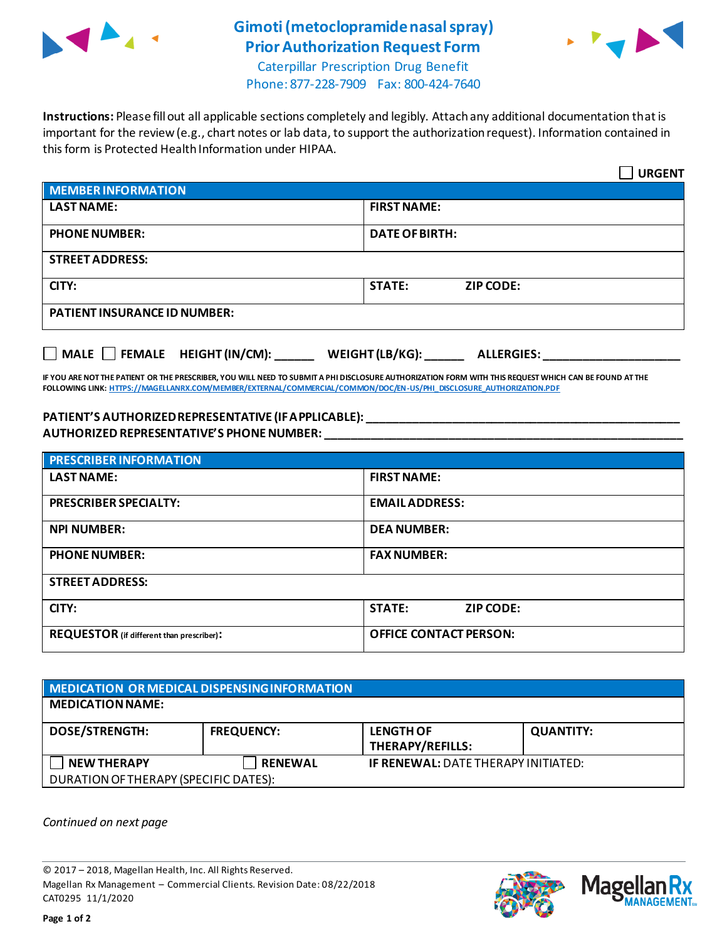

## **Gimoti (metoclopramide nasal spray) Prior Authorization Request Form**



Caterpillar Prescription Drug Benefit Phone: 877-228-7909 Fax: 800-424-7640

**Instructions:** Please fill out all applicable sections completely and legibly. Attach any additional documentation that is important for the review (e.g., chart notes or lab data, to support the authorization request). Information contained in this form is Protected Health Information under HIPAA.

|                                                                                   | <b>URGENT</b>                     |  |  |  |
|-----------------------------------------------------------------------------------|-----------------------------------|--|--|--|
| <b>MEMBER INFORMATION</b>                                                         |                                   |  |  |  |
| <b>LAST NAME:</b>                                                                 | <b>FIRST NAME:</b>                |  |  |  |
| <b>PHONE NUMBER:</b>                                                              | <b>DATE OF BIRTH:</b>             |  |  |  |
| <b>STREET ADDRESS:</b>                                                            |                                   |  |  |  |
| CITY:                                                                             | <b>STATE:</b><br><b>ZIP CODE:</b> |  |  |  |
| <b>PATIENT INSURANCE ID NUMBER:</b>                                               |                                   |  |  |  |
| $\Box$ MALE $\Box$ FEMALE HEIGHT (IN/CM):<br>WEIGHT (LB/KG):<br><b>ALLERGIES:</b> |                                   |  |  |  |

**IF YOU ARE NOT THE PATIENT OR THE PRESCRIBER, YOU WILL NEED TO SUBMIT A PHI DISCLOSURE AUTHORIZATION FORM WITH THIS REQUEST WHICH CAN BE FOUND AT THE FOLLOWING LINK[: HTTPS://MAGELLANRX.COM/MEMBER/EXTERNAL/COMMERCIAL/COMMON/DOC/EN-US/PHI\\_DISCLOSURE\\_AUTHORIZATION.PDF](https://magellanrx.com/member/external/commercial/common/doc/en-us/PHI_Disclosure_Authorization.pdf)**

## **PATIENT'S AUTHORIZED REPRESENTATIVE (IF APPLICABLE): \_\_\_\_\_\_\_\_\_\_\_\_\_\_\_\_\_\_\_\_\_\_\_\_\_\_\_\_\_\_\_\_\_\_\_\_\_\_\_\_\_\_\_\_\_\_\_\_ AUTHORIZED REPRESENTATIVE'S PHONE NUMBER: \_\_\_\_\_\_\_\_\_\_\_\_\_\_\_\_\_\_\_\_\_\_\_\_\_\_\_\_\_\_\_\_\_\_\_\_\_\_\_\_\_\_\_\_\_\_\_\_\_\_\_\_\_\_\_**

| <b>PRESCRIBER INFORMATION</b>                    |                               |  |  |  |
|--------------------------------------------------|-------------------------------|--|--|--|
| <b>LAST NAME:</b>                                | <b>FIRST NAME:</b>            |  |  |  |
| <b>PRESCRIBER SPECIALTY:</b>                     | <b>EMAIL ADDRESS:</b>         |  |  |  |
| <b>NPI NUMBER:</b>                               | <b>DEA NUMBER:</b>            |  |  |  |
| <b>PHONE NUMBER:</b>                             | <b>FAX NUMBER:</b>            |  |  |  |
| <b>STREET ADDRESS:</b>                           |                               |  |  |  |
| CITY:                                            | <b>STATE:</b><br>ZIP CODE:    |  |  |  |
| <b>REQUESTOR</b> (if different than prescriber): | <b>OFFICE CONTACT PERSON:</b> |  |  |  |

| MEDICATION OR MEDICAL DISPENSING INFORMATION |                   |                                             |                  |  |  |
|----------------------------------------------|-------------------|---------------------------------------------|------------------|--|--|
| <b>MEDICATION NAME:</b>                      |                   |                                             |                  |  |  |
| <b>DOSE/STRENGTH:</b>                        | <b>FREQUENCY:</b> | <b>LENGTH OF</b><br><b>THERAPY/REFILLS:</b> | <b>QUANTITY:</b> |  |  |
| <b>NEW THERAPY</b>                           | <b>RENEWAL</b>    | <b>IF RENEWAL: DATE THERAPY INITIATED:</b>  |                  |  |  |
| DURATION OF THERAPY (SPECIFIC DATES):        |                   |                                             |                  |  |  |

*Continued on next page*

© 2017 – 2018, Magellan Health, Inc. All Rights Reserved. Magellan Rx Management – Commercial Clients. Revision Date: 08/22/2018 CAT0295 11/1/2020